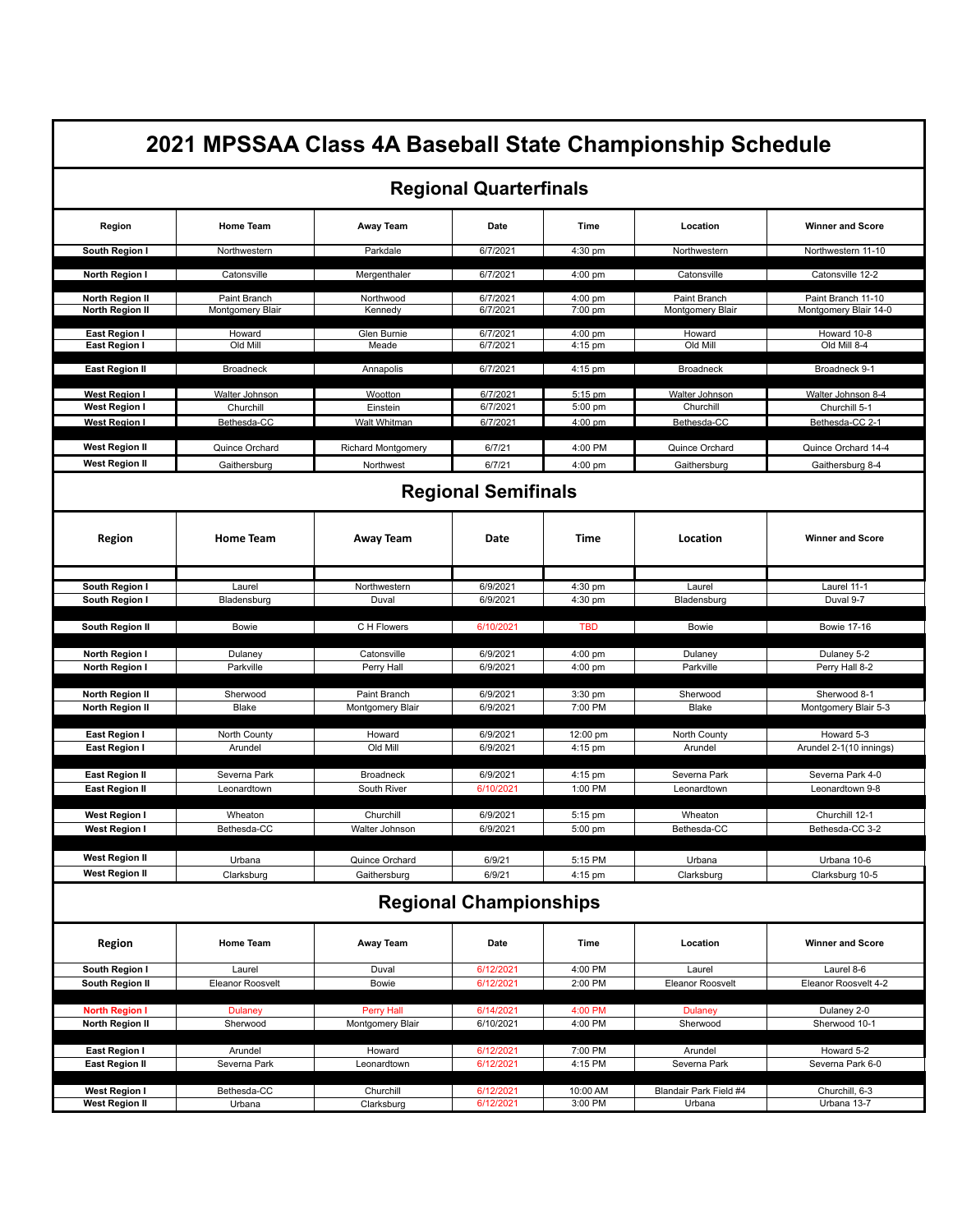| 2021 MPSSAA Class 4A Baseball State Championship Schedule<br><b>Regional Quarterfinals</b> |                                  |                                           |                               |                      |                                  |                                             |  |  |        |
|--------------------------------------------------------------------------------------------|----------------------------------|-------------------------------------------|-------------------------------|----------------------|----------------------------------|---------------------------------------------|--|--|--------|
|                                                                                            |                                  |                                           |                               |                      |                                  |                                             |  |  | Region |
| South Region I                                                                             | Northwestern                     | Parkdale                                  | 6/7/2021                      | $4:30$ pm            | Northwestern                     | Northwestern 11-10                          |  |  |        |
| North Region I                                                                             | Catonsville                      | Mergenthaler                              | 6/7/2021                      | 4:00 pm              | Catonsville                      | Catonsville 12-2                            |  |  |        |
| North Region II<br>North Region II                                                         | Paint Branch<br>Montgomery Blair | Northwood<br>Kennedy                      | 6/7/2021<br>6/7/2021          | 4:00 pm<br>7:00 pm   | Paint Branch<br>Montgomery Blair | Paint Branch 11-10<br>Montgomery Blair 14-0 |  |  |        |
| East Region I<br>East Region I                                                             | Howard<br>Old Mill               | Glen Burnie<br>Meade                      | 6/7/2021<br>6/7/2021          | 4:00 pm<br>4:15 pm   | Howard<br>Old Mill               | Howard 10-8<br>Old Mill 8-4                 |  |  |        |
| <b>East Region II</b>                                                                      | Broadneck                        | Annapolis                                 | 6/7/2021                      | 4:15 pm              | Broadneck                        | Broadneck 9-1                               |  |  |        |
| <b>West Region I</b><br><b>West Region I</b>                                               | Walter Johnson<br>Churchill      | Wootton<br>Einstein                       | 6/7/2021<br>6/7/2021          | $5:15$ pm<br>5:00 pm | Walter Johnson<br>Churchill      | Walter Johnson 8-4<br>Churchill 5-1         |  |  |        |
| <b>West Region I</b><br><b>West Region II</b>                                              | Bethesda-CC<br>Quince Orchard    | Walt Whitman<br><b>Richard Montgomery</b> | 6/7/2021<br>6/7/21            | 4:00 pm<br>4:00 PM   | Bethesda-CC<br>Quince Orchard    | Bethesda-CC 2-1<br>Quince Orchard 14-4      |  |  |        |
| West Region II                                                                             | Gaithersburg                     | Northwest                                 | 6/7/21                        | 4:00 pm              | Gaithersburg                     | Gaithersburg 8-4                            |  |  |        |
|                                                                                            | <b>Regional Semifinals</b>       |                                           |                               |                      |                                  |                                             |  |  |        |
| Region                                                                                     | <b>Home Team</b>                 | Away Team                                 | Date                          | Time                 | Location                         | <b>Winner and Score</b>                     |  |  |        |
| South Region I                                                                             | Laurel                           | Northwestern                              | 6/9/2021                      | 4:30 pm              | Laurel                           | Laurel 11-1                                 |  |  |        |
| South Region I                                                                             | Bladensburg                      | Duval                                     | 6/9/2021                      | 4:30 pm              | Bladensburg                      | Duval 9-7                                   |  |  |        |
| South Region II                                                                            | Bowie                            | C H Flowers                               | 6/10/2021                     | TBD                  | Bowie                            | <b>Bowie 17-16</b>                          |  |  |        |
| North Region I                                                                             | Dulaney                          | Catonsville                               | 6/9/2021                      | 4:00 pm              | Dulaney                          | Dulaney 5-2                                 |  |  |        |
| North Region I                                                                             | Parkville                        | Perry Hall                                | 6/9/2021                      | 4:00 pm              | Parkville                        | Perry Hall 8-2                              |  |  |        |
| North Region II<br>North Region II                                                         | Sherwood<br><b>Blake</b>         | Paint Branch<br>Montgomery Blair          | 6/9/2021<br>6/9/2021          | $3:30$ pm<br>7:00 PM | Sherwood<br><b>Blake</b>         | Sherwood 8-1<br>Montgomery Blair 5-3        |  |  |        |
| East Region I<br>East Region I                                                             | North County<br>Arundel          | Howard<br>Old Mill                        | 6/9/2021<br>6/9/2021          | 12:00 pm<br>4:15 pm  | North County<br>Arundel          | Howard 5-3<br>Arundel 2-1(10 innings)       |  |  |        |
| <b>East Region II</b><br><b>East Region II</b>                                             | Severna Park<br>Leonardtown      | Broadneck<br>South River                  | 6/9/2021<br>6/10/2021         | 4:15 pm<br>1:00 PM   | Severna Park<br>Leonardtown      | Severna Park 4-0<br>Leonardtown 9-8         |  |  |        |
| West Region I                                                                              | Wheaton                          | Churchill                                 | 6/9/2021                      | 5:15 pm              | Wheaton                          | Churchill 12-1                              |  |  |        |
| <b>West Region I</b>                                                                       | Bethesda-CC                      | Walter Johnson                            | 6/9/2021                      | 5:00 pm              | Bethesda-CC                      | Bethesda-CC 3-2                             |  |  |        |
| <b>West Region II</b><br>West Region II                                                    | Urbana<br>Clarksburg             | Quince Orchard<br>Gaithersburg            | 6/9/21<br>6/9/21              | 5:15 PM<br>4:15 pm   | Urbana<br>Clarksburg             | Urbana 10-6<br>Clarksburg 10-5              |  |  |        |
|                                                                                            |                                  |                                           | <b>Regional Championships</b> |                      |                                  |                                             |  |  |        |
| Region                                                                                     | Home Team                        | Away Team                                 | Date                          | Time                 | Location                         | <b>Winner and Score</b>                     |  |  |        |
| South Region I                                                                             | Laurel                           | Duval                                     | 6/12/2021                     | 4:00 PM              | Laurel                           | Laurel 8-6                                  |  |  |        |
| South Region II                                                                            | Eleanor Roosvelt                 | <b>Bowie</b>                              | 6/12/2021                     | 2:00 PM              | Eleanor Roosvelt                 | Eleanor Roosvelt 4-2                        |  |  |        |
| <b>North Region I</b>                                                                      | <b>Dulaney</b>                   | Perry Hall                                | 6/14/2021                     | 4:00 PM              | Dulaney                          | Dulaney 2-0                                 |  |  |        |
| North Region II                                                                            | Sherwood                         | Montgomery Blair                          | 6/10/2021                     | 4:00 PM              | Sherwood                         | Sherwood 10-1                               |  |  |        |
| East Region I                                                                              | Arundel                          | Howard                                    | 6/12/2021                     | 7:00 PM              | Arundel                          | Howard 5-2                                  |  |  |        |
| <b>East Region II</b>                                                                      | Severna Park                     | Leonardtown                               | 6/12/2021                     | 4:15 PM              | Severna Park                     | Severna Park 6-0                            |  |  |        |
| <b>West Region I</b>                                                                       | Bethesda-CC                      | Churchill                                 | 6/12/2021                     | 10:00 AM             | Blandair Park Field #4           | Churchill, 6-3                              |  |  |        |
|                                                                                            |                                  | Clarksburg                                | 6/12/2021                     | 3:00 PM              | Urbana                           | Urbana 13-7                                 |  |  |        |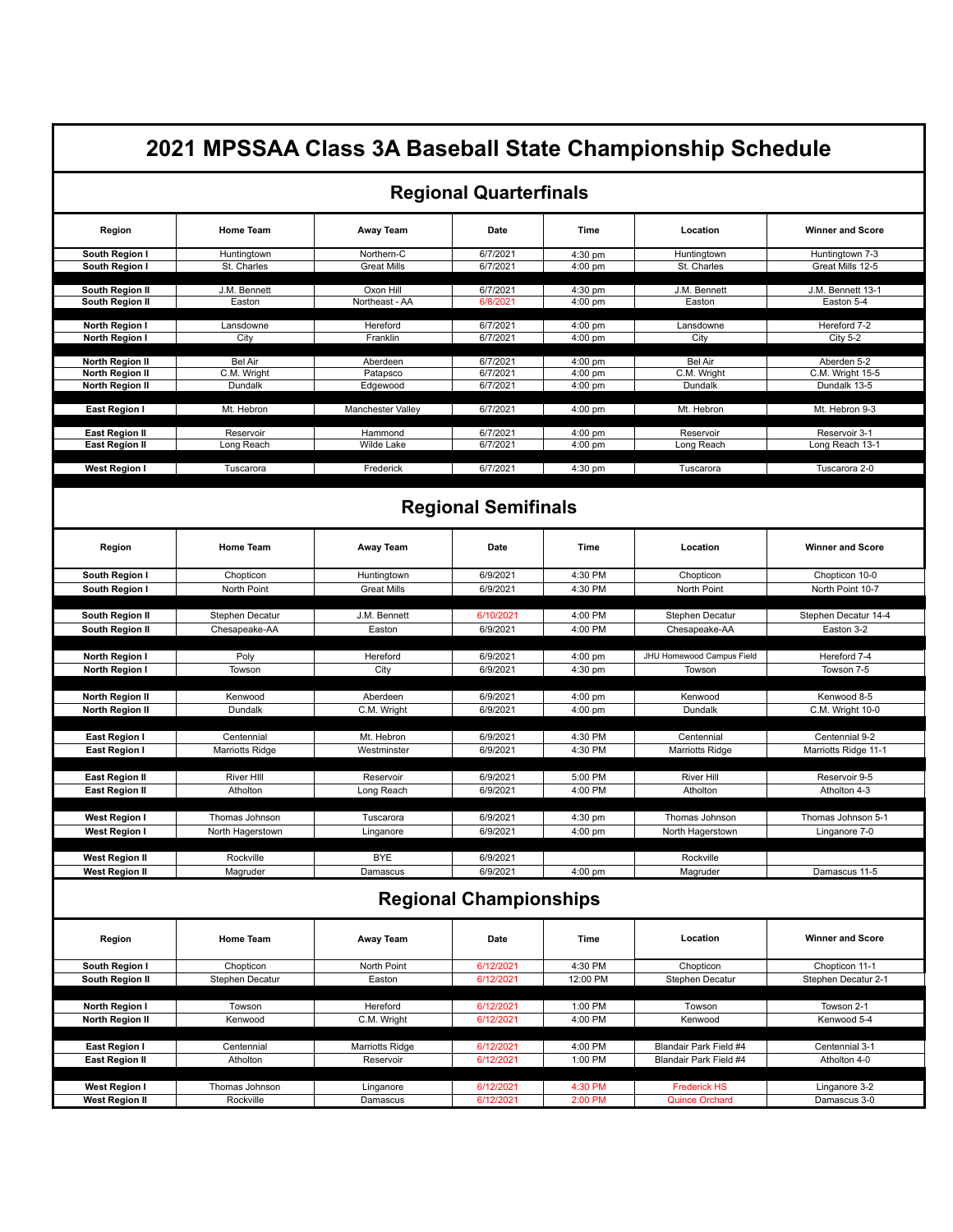| 2021 MPSSAA Class 3A Baseball State Championship Schedule    |                                          |                                   |                                  |                                 |                                              |                                                 |  |  |
|--------------------------------------------------------------|------------------------------------------|-----------------------------------|----------------------------------|---------------------------------|----------------------------------------------|-------------------------------------------------|--|--|
| <b>Regional Quarterfinals</b>                                |                                          |                                   |                                  |                                 |                                              |                                                 |  |  |
| Region                                                       | <b>Home Team</b>                         | <b>Away Team</b>                  | Date                             | Time                            | Location                                     | <b>Winner and Score</b>                         |  |  |
| South Region I<br>South Region I                             | Huntingtown<br>St. Charles               | Northern-C<br><b>Great Mills</b>  | 6/7/2021<br>6/7/2021             | 4:30 pm<br>4:00 pm              | Huntingtown<br>St. Charles                   | Huntingtown 7-3<br>Great Mills 12-5             |  |  |
| South Region II<br>South Region II                           | J.M. Bennett<br>Easton                   | Oxon Hill<br>Northeast - AA       | 6/7/2021<br>6/8/2021             | 4:30 pm<br>4:00 pm              | J.M. Bennett<br>Easton                       | J.M. Bennett 13-1<br>Easton 5-4                 |  |  |
| North Region I<br>North Region I                             | Lansdowne<br>City                        | Hereford<br>Franklin              | 6/7/2021<br>6/7/2021             | $4:00$ pm<br>4:00 pm            | Lansdowne<br>City                            | Hereford 7-2<br><b>City 5-2</b>                 |  |  |
| <b>North Region II</b><br>North Region II<br>North Region II | <b>Bel Air</b><br>C.M. Wright<br>Dundalk | Aberdeen<br>Patapsco<br>Edgewood  | 6/7/2021<br>6/7/2021<br>6/7/2021 | $4:00$ pm<br>4:00 pm<br>4:00 pm | <b>Bel Air</b><br>C.M. Wright<br>Dundalk     | Aberden 5-2<br>C.M. Wright 15-5<br>Dundalk 13-5 |  |  |
| East Region I                                                | Mt. Hebron                               | Manchester Valley                 | 6/7/2021                         | 4:00 pm                         | Mt. Hebron                                   | Mt. Hebron 9-3                                  |  |  |
| <b>East Region II</b><br><b>East Region II</b>               | Reservoir<br>Long Reach                  | Hammond<br>Wilde Lake             | 6/7/2021<br>6/7/2021             | 4:00 pm<br>4:00 pm              | Reservoir<br>Long Reach                      | Reservoir 3-1<br>Long Reach 13-1                |  |  |
| <b>West Region I</b>                                         | Tuscarora                                | Frederick                         | 6/7/2021                         | 4:30 pm                         | Tuscarora                                    | Tuscarora 2-0                                   |  |  |
|                                                              |                                          |                                   | <b>Regional Semifinals</b>       |                                 |                                              |                                                 |  |  |
| Region                                                       | <b>Home Team</b>                         | <b>Away Team</b>                  | Date                             | Time                            | Location                                     | <b>Winner and Score</b>                         |  |  |
| South Region I<br>South Region I                             | Chopticon<br>North Point                 | Huntingtown<br><b>Great Mills</b> | 6/9/2021<br>6/9/2021             | 4:30 PM<br>4:30 PM              | Chopticon<br>North Point                     | Chopticon 10-0<br>North Point 10-7              |  |  |
|                                                              |                                          |                                   |                                  |                                 |                                              |                                                 |  |  |
| South Region II<br>South Region II                           | Stephen Decatur<br>Chesapeake-AA         | J.M. Bennett<br>Easton            | 6/10/2021<br>6/9/2021            | 4:00 PM<br>4:00 PM              | Stephen Decatur<br>Chesapeake-AA             | Stephen Decatur 14-4<br>Easton 3-2              |  |  |
|                                                              |                                          |                                   |                                  |                                 |                                              |                                                 |  |  |
| North Region I                                               | Poly<br>Towson                           | Hereford<br>City                  | 6/9/2021<br>6/9/2021             | 4:00 pm<br>4:30 pm              | JHU Homewood Campus Field<br>Towson          | Hereford 7-4<br>Towson 7-5                      |  |  |
| North Region I                                               |                                          |                                   |                                  |                                 |                                              |                                                 |  |  |
| North Region II                                              | Kenwood                                  | Aberdeen                          | 6/9/2021                         | 4:00 pm                         | Kenwood                                      | Kenwood 8-5                                     |  |  |
| North Region II                                              | Dundalk                                  | C.M. Wright                       | 6/9/2021                         | 4:00 pm                         | Dundalk                                      | C.M. Wright 10-0                                |  |  |
| East Region I                                                | Centennial                               | Mt. Hebron                        | 6/9/2021                         | 4:30 PM                         | Centennial                                   | Centennial 9-2                                  |  |  |
| East Region I                                                | <b>Marriotts Ridge</b>                   | Westminster                       | 6/9/2021                         | 4:30 PM                         | <b>Marriotts Ridge</b>                       | Marriotts Ridge 11-1                            |  |  |
| <b>East Region II</b>                                        | River HIII                               | Reservoir                         | 6/9/2021                         | 5:00 PM                         | <b>River Hill</b>                            | Reservoir 9-5                                   |  |  |
| <b>East Region II</b>                                        | Atholton                                 | Long Reach                        | 6/9/2021                         | 4:00 PM                         | Atholton                                     | Atholton 4-3                                    |  |  |
| West Region I                                                | Thomas Johnson                           | Tuscarora                         | 6/9/2021                         | 4:30 pm                         | Thomas Johnson                               | Thomas Johnson 5-1                              |  |  |
| <b>West Region I</b>                                         | North Hagerstown                         | Linganore                         | 6/9/2021                         | 4:00 pm                         | North Hagerstown                             | Linganore 7-0                                   |  |  |
| <b>West Region II</b>                                        | Rockville                                | <b>BYE</b>                        | 6/9/2021                         |                                 | Rockville                                    |                                                 |  |  |
| <b>West Region II</b>                                        | Magruder                                 | Damascus                          | 6/9/2021                         | 4:00 pm                         | Magruder                                     | Damascus 11-5                                   |  |  |
|                                                              |                                          |                                   | <b>Regional Championships</b>    |                                 |                                              |                                                 |  |  |
| Region                                                       | <b>Home Team</b>                         | Away Team                         | Date                             | Time                            | Location                                     | <b>Winner and Score</b>                         |  |  |
| South Region I                                               | Chopticon                                | North Point                       | 6/12/2021                        | 4:30 PM                         | Chopticon                                    | Chopticon 11-1                                  |  |  |
| South Region II                                              | Stephen Decatur                          | Easton                            | 6/12/2021                        | 12:00 PM                        | Stephen Decatur                              | Stephen Decatur 2-1                             |  |  |
| North Region I                                               | Towson                                   | Hereford                          | 6/12/2021                        | 1:00 PM                         | Towson                                       | Towson 2-1                                      |  |  |
| North Region II                                              | Kenwood                                  | C.M. Wright                       | 6/12/2021                        | 4:00 PM                         | Kenwood                                      | Kenwood 5-4                                     |  |  |
| East Region I                                                | Centennial                               | Marriotts Ridge                   | 6/12/2021                        | 4:00 PM                         | Blandair Park Field #4                       | Centennial 3-1                                  |  |  |
| East Region II                                               | Atholton                                 | Reservoir                         | 6/12/2021                        | 1:00 PM                         | Blandair Park Field #4                       | Atholton 4-0                                    |  |  |
|                                                              |                                          |                                   |                                  |                                 |                                              |                                                 |  |  |
| West Region I<br><b>West Region II</b>                       | Thomas Johnson<br>Rockville              | Linganore<br>Damascus             | 6/12/2021<br>6/12/2021           | 4:30 PM<br>2:00 PM              | <b>Frederick HS</b><br><b>Quince Orchard</b> | Linganore 3-2<br>Damascus 3-0                   |  |  |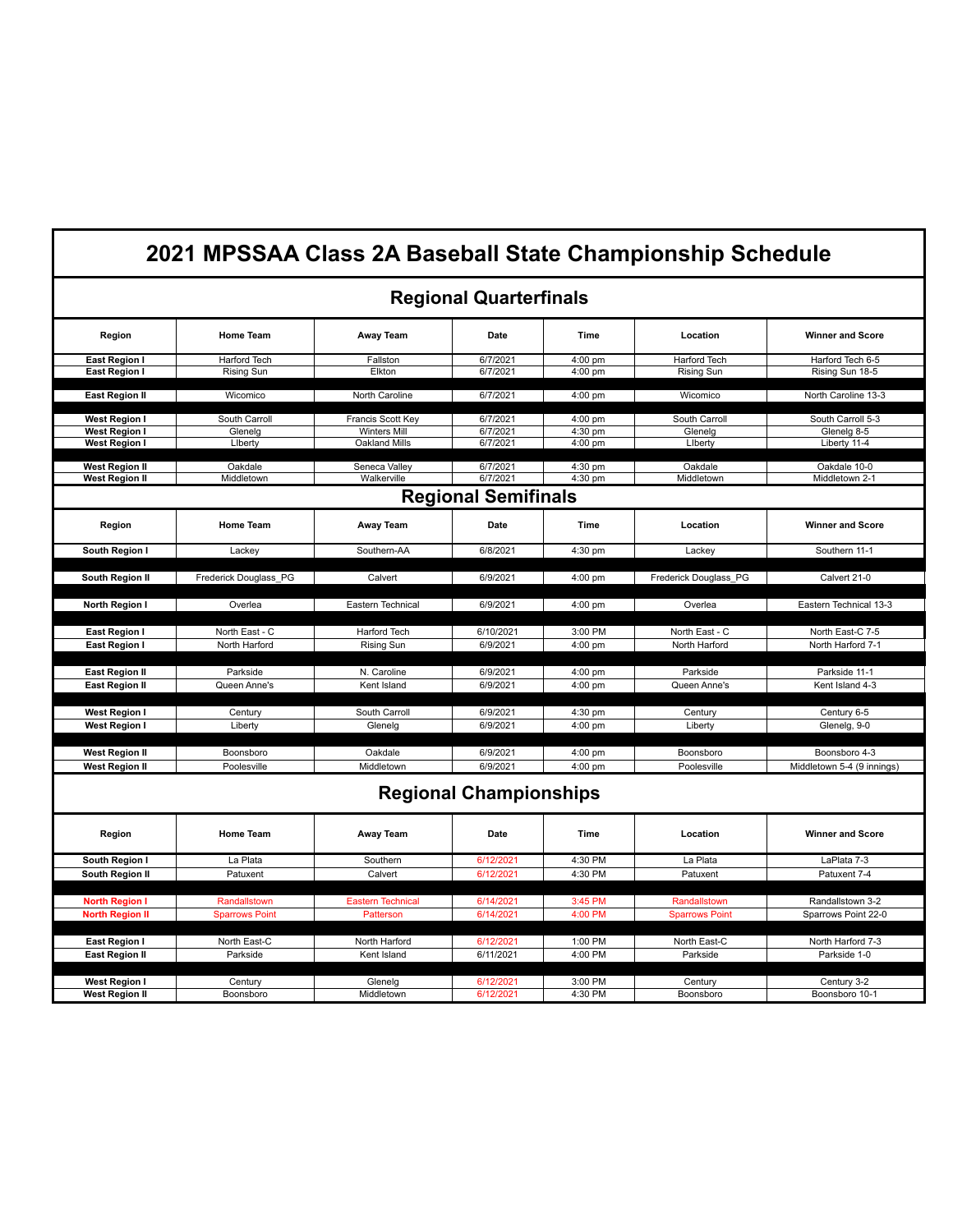|                               |                       |                          |                               |                   | 2021 MPSSAA Class 2A Baseball State Championship Schedule |                            |  |  |
|-------------------------------|-----------------------|--------------------------|-------------------------------|-------------------|-----------------------------------------------------------|----------------------------|--|--|
| <b>Regional Quarterfinals</b> |                       |                          |                               |                   |                                                           |                            |  |  |
| Region                        | <b>Home Team</b>      | Away Team                | Date                          | Time              | Location                                                  | <b>Winner and Score</b>    |  |  |
| East Region I                 | Harford Tech          | Fallston                 | 6/7/2021                      | 4:00 pm           | <b>Harford Tech</b>                                       | Harford Tech 6-5           |  |  |
| <b>East Region I</b>          | <b>Rising Sun</b>     | Elkton                   | 6/7/2021                      | 4:00 pm           | <b>Rising Sun</b>                                         | Rising Sun 18-5            |  |  |
| <b>East Region II</b>         | Wicomico              | North Caroline           | 6/7/2021                      | 4:00 pm           | Wicomico                                                  | North Caroline 13-3        |  |  |
| <b>West Region I</b>          | South Carroll         | Francis Scott Key        | 6/7/2021                      | $4:00 \text{ pm}$ | South Carroll                                             | South Carroll 5-3          |  |  |
| <b>West Region I</b>          | Glenelg               | Winters Mill             | 6/7/2021                      | 4:30 pm           | Glenelg                                                   | Glenelg 8-5                |  |  |
| <b>West Region I</b>          | Liberty               | <b>Oakland Mills</b>     | 6/7/2021                      | $4:00$ pm         | Liberty                                                   | Liberty 11-4               |  |  |
| <b>West Region II</b>         | Oakdale               | Seneca Valley            | 6/7/2021                      | 4:30 pm           | Oakdale                                                   | Oakdale 10-0               |  |  |
| <b>West Region II</b>         | Middletown            | Walkerville              | 6/7/2021                      | 4:30 pm           | Middletown                                                | Middletown 2-1             |  |  |
|                               |                       |                          | <b>Regional Semifinals</b>    |                   |                                                           |                            |  |  |
|                               |                       |                          |                               |                   |                                                           |                            |  |  |
| Region                        | <b>Home Team</b>      | <b>Away Team</b>         | Date                          | Time              | Location                                                  | <b>Winner and Score</b>    |  |  |
| South Region I                | Lackey                | Southern-AA              | 6/8/2021                      | 4:30 pm           | Lackey                                                    | Southern 11-1              |  |  |
| South Region II               | Frederick Douglass PG | Calvert                  | 6/9/2021                      | 4:00 pm           | Frederick Douglass PG                                     | Calvert 21-0               |  |  |
| North Region I                | Overlea               | Eastern Technical        | 6/9/2021                      | 4:00 pm           | Overlea                                                   | Eastern Technical 13-3     |  |  |
| <b>East Region I</b>          | North East - C        | Harford Tech             | 6/10/2021                     | 3:00 PM           | North East - C                                            | North East-C 7-5           |  |  |
| East Region I                 | North Harford         | <b>Rising Sun</b>        | 6/9/2021                      | 4:00 pm           | North Harford                                             | North Harford 7-1          |  |  |
|                               |                       |                          |                               |                   |                                                           |                            |  |  |
| <b>East Region II</b>         | Parkside              | N. Caroline              | 6/9/2021                      | 4:00 pm           | Parkside                                                  | Parkside 11-1              |  |  |
| <b>East Region II</b>         | Queen Anne's          | Kent Island              | 6/9/2021                      | 4:00 pm           | Queen Anne's                                              | Kent Island 4-3            |  |  |
| <b>West Region I</b>          |                       | South Carroll            | 6/9/2021                      | 4:30 pm           |                                                           | Century 6-5                |  |  |
| West Region I                 | Century<br>Liberty    | Glenelg                  | 6/9/2021                      | 4:00 pm           | Century<br>Liberty                                        | Glenelg, 9-0               |  |  |
|                               |                       |                          |                               |                   |                                                           |                            |  |  |
| <b>West Region II</b>         | Boonsboro             | Oakdale                  | 6/9/2021                      | 4:00 pm           | Boonsboro                                                 | Boonsboro 4-3              |  |  |
| <b>West Region II</b>         | Poolesville           | Middletown               | 6/9/2021                      | 4:00 pm           | Poolesville                                               | Middletown 5-4 (9 innings) |  |  |
|                               |                       |                          | <b>Regional Championships</b> |                   |                                                           |                            |  |  |
| Region                        | <b>Home Team</b>      | Away Team                | Date                          | Time              | Location                                                  | <b>Winner and Score</b>    |  |  |
| South Region I                | La Plata              | Southern                 | 6/12/2021                     | 4:30 PM           | La Plata                                                  | LaPlata 7-3                |  |  |
| South Region II               | Patuxent              | Calvert                  | 6/12/2021                     | 4:30 PM           | Patuxent                                                  | Patuxent 7-4               |  |  |
| <b>North Region I</b>         | Randallstown          | <b>Eastern Technical</b> | 6/14/2021                     | 3:45 PM           | Randallstown                                              | Randallstown 3-2           |  |  |
| <b>North Region II</b>        | <b>Sparrows Point</b> | Patterson                | 6/14/2021                     | 4:00 PM           | <b>Sparrows Point</b>                                     | Sparrows Point 22-0        |  |  |
|                               |                       |                          |                               |                   |                                                           |                            |  |  |
| <b>East Region I</b>          | North East-C          | North Harford            | 6/12/2021                     | 1:00 PM           | North East-C                                              | North Harford 7-3          |  |  |
| <b>East Region II</b>         | Parkside              | Kent Island              | 6/11/2021                     | 4:00 PM           | Parkside                                                  | Parkside 1-0               |  |  |
|                               |                       |                          |                               |                   |                                                           |                            |  |  |
| <b>West Region I</b>          | Century               | Glenelg                  | 6/12/2021                     | 3:00 PM           | Century                                                   | Century 3-2                |  |  |